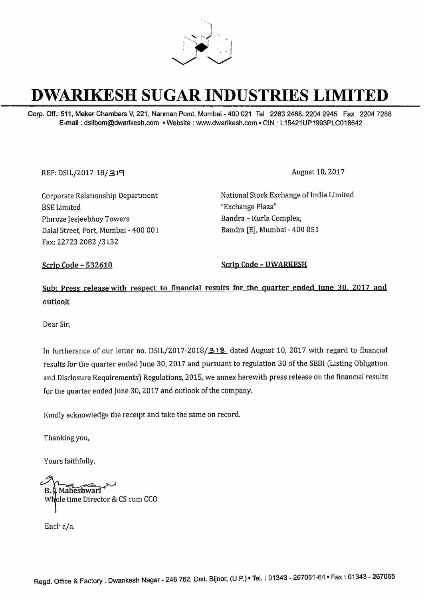

# **DWARIKESH SUGAR INDUSTRIES LIMITED**

Corp. Off.: 511, Maker Chambers V, 221, Narıman Point, Mumbai - 400 021 Tel 2283 2468, 2204 2945 Fax 2204 7288 E-mail: dsilbom@dwarikesh.com • Website: www.dwarikesh.com • CIN · L15421UP1993PLC018642

REF: DSIL/2017-18/319

Corporate Relationship Department **BSE** Limited Phiroze Jeejeebhoy Towers Dalal Street, Fort, Mumbai - 400 001 Fax: 22723 2082 /3132

August 10, 2017

National Stock Exchange of India Limited "Exchange Plaza" Bandra - Kurla Complex, Bandra [E], Mumbai - 400 051

**Scrip Code - 532610** 

**Scrip Code - DWARKESH** 

Sub: Press release with respect to financial results for the quarter ended June 30, 2017 and outlook

Dear Sir.

In furtherance of our letter no. DSIL/2017-2018/318 dated August 10, 2017 with regard to financial results for the quarter ended June 30, 2017 and pursuant to regulation 30 of the SEBI (Listing Obligation and Disclosure Requirements) Regulations, 2015, we annex herewith press release on the financial results for the quarter ended June 30, 2017 and outlook of the company.

Kindly acknowledge the receipt and take the same on record.

Thanking you,

Yours faithfully,

B. J. Maheshwarl Whole time Director & CS cum CCO

Encl a/a.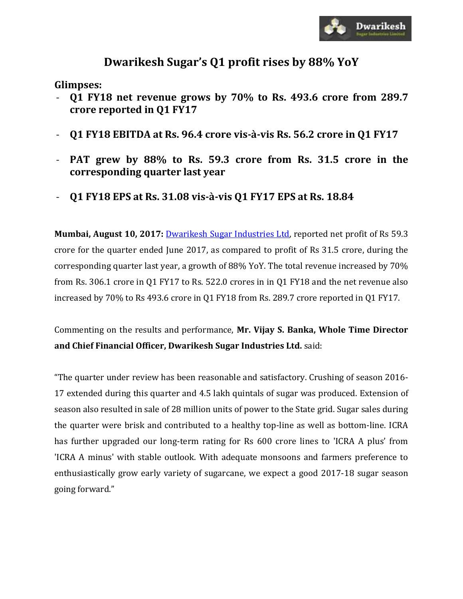

## **Dwarikesh Sugar's Q1 profit rises by 88% YoY**

**Glimpses:** 

- **Q1 FY18 net revenue grows by 70% to Rs. 493.6 crore from 289.7 crore reported in Q1 FY17**
- **Q1 FY18 EBITDA at Rs. 96.4 crore vis-à-vis Rs. 56.2 crore in Q1 FY17**
- **PAT grew by 88% to Rs. 59.3 crore from Rs. 31.5 crore in the corresponding quarter last year**
- **Q1 FY18 EPS at Rs. 31.08 vis-à-vis Q1 FY17 EPS at Rs. 18.84**

**Mumbai, August 10, 2017:** [Dwarikesh Sugar Industries Ltd,](http://www.dwarikesh.com/) reported net profit of Rs 59.3 crore for the quarter ended June 2017, as compared to profit of Rs 31.5 crore, during the corresponding quarter last year, a growth of 88% YoY. The total revenue increased by 70% from Rs. 306.1 crore in Q1 FY17 to Rs. 522.0 crores in in Q1 FY18 and the net revenue also increased by 70% to Rs 493.6 crore in Q1 FY18 from Rs. 289.7 crore reported in Q1 FY17.

Commenting on the results and performance, **Mr. Vijay S. Banka, Whole Time Director and Chief Financial Officer, Dwarikesh Sugar Industries Ltd.** said:

"The quarter under review has been reasonable and satisfactory. Crushing of season 2016- 17 extended during this quarter and 4.5 lakh quintals of sugar was produced. Extension of season also resulted in sale of 28 million units of power to the State grid. Sugar sales during the quarter were brisk and contributed to a healthy top-line as well as bottom-line. ICRA has further upgraded our long-term rating for Rs 600 crore lines to 'ICRA A plus' from 'ICRA A minus' with stable outlook. With adequate monsoons and farmers preference to enthusiastically grow early variety of sugarcane, we expect a good 2017-18 sugar season going forward."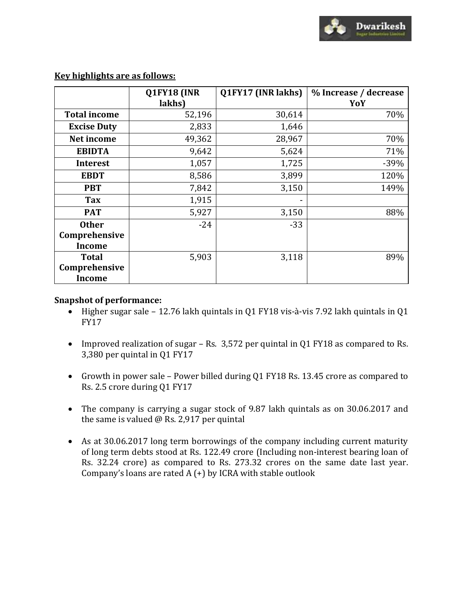

|                     | Q1FY18 (INR | Q1FY17 (INR lakhs) | % Increase / decrease |
|---------------------|-------------|--------------------|-----------------------|
|                     | lakhs)      |                    | YoY                   |
| <b>Total income</b> | 52,196      | 30,614             | 70%                   |
| <b>Excise Duty</b>  | 2,833       | 1,646              |                       |
| Net income          | 49,362      | 28,967             | 70%                   |
| <b>EBIDTA</b>       | 9,642       | 5,624              | 71%                   |
| <b>Interest</b>     | 1,057       | 1,725              | $-39%$                |
| <b>EBDT</b>         | 8,586       | 3,899              | 120%                  |
| <b>PBT</b>          | 7,842       | 3,150              | 149%                  |
| Tax                 | 1,915       | -                  |                       |
| <b>PAT</b>          | 5,927       | 3,150              | 88%                   |
| <b>Other</b>        | $-24$       | $-33$              |                       |
| Comprehensive       |             |                    |                       |
| <b>Income</b>       |             |                    |                       |
| <b>Total</b>        | 5,903       | 3,118              | 89%                   |
| Comprehensive       |             |                    |                       |
| <b>Income</b>       |             |                    |                       |

#### **Key highlights are as follows:**

#### **Snapshot of performance:**

- Higher sugar sale 12.76 lakh quintals in Q1 FY18 vis-à-vis 7.92 lakh quintals in Q1 FY17
- Improved realization of sugar Rs. 3,572 per quintal in Q1 FY18 as compared to Rs. 3,380 per quintal in Q1 FY17
- Growth in power sale Power billed during Q1 FY18 Rs. 13.45 crore as compared to Rs. 2.5 crore during Q1 FY17
- The company is carrying a sugar stock of 9.87 lakh quintals as on 30.06.2017 and the same is valued @ Rs. 2,917 per quintal
- As at 30.06.2017 long term borrowings of the company including current maturity of long term debts stood at Rs. 122.49 crore (Including non-interest bearing loan of Rs. 32.24 crore) as compared to Rs. 273.32 crores on the same date last year. Company's loans are rated  $A (+)$  by ICRA with stable outlook